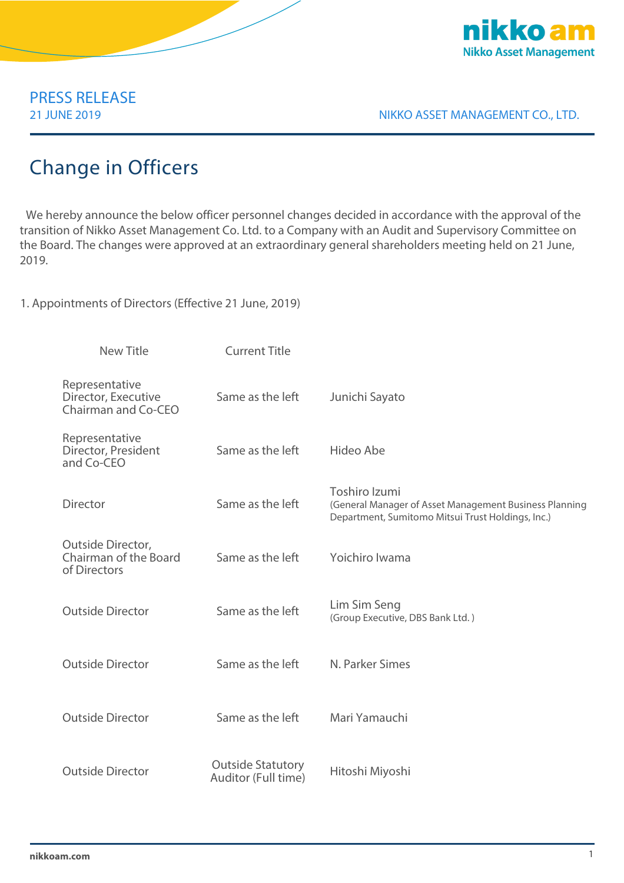

# PRESS RELEASE

21 JUNE 2019 NIKKO ASSET MANAGEMENT CO., LTD.

## Change in Officers

We hereby announce the below officer personnel changes decided in accordance with the approval of the transition of Nikko Asset Management Co. Ltd. to a Company with an Audit and Supervisory Committee on the Board. The changes were approved at an extraordinary general shareholders meeting held on 21 June, 2019.

1. Appointments of Directors (Effective 21 June, 2019)

| <b>New Title</b>                                             | <b>Current Title</b>                            |                                                                                                                              |
|--------------------------------------------------------------|-------------------------------------------------|------------------------------------------------------------------------------------------------------------------------------|
| Representative<br>Director, Executive<br>Chairman and Co-CEO | Same as the left                                | Junichi Sayato                                                                                                               |
| Representative<br>Director, President<br>and Co-CEO          | Same as the left                                | Hideo Abe                                                                                                                    |
| <b>Director</b>                                              | Same as the left                                | Toshiro Izumi<br>(General Manager of Asset Management Business Planning<br>Department, Sumitomo Mitsui Trust Holdings, Inc.) |
| Outside Director,<br>Chairman of the Board<br>of Directors   | Same as the left                                | Yoichiro Iwama                                                                                                               |
| <b>Outside Director</b>                                      | Same as the left                                | Lim Sim Seng<br>(Group Executive, DBS Bank Ltd.)                                                                             |
| <b>Outside Director</b>                                      | Same as the left                                | N. Parker Simes                                                                                                              |
| <b>Outside Director</b>                                      | Same as the left                                | Mari Yamauchi                                                                                                                |
| <b>Outside Director</b>                                      | <b>Outside Statutory</b><br>Auditor (Full time) | Hitoshi Miyoshi                                                                                                              |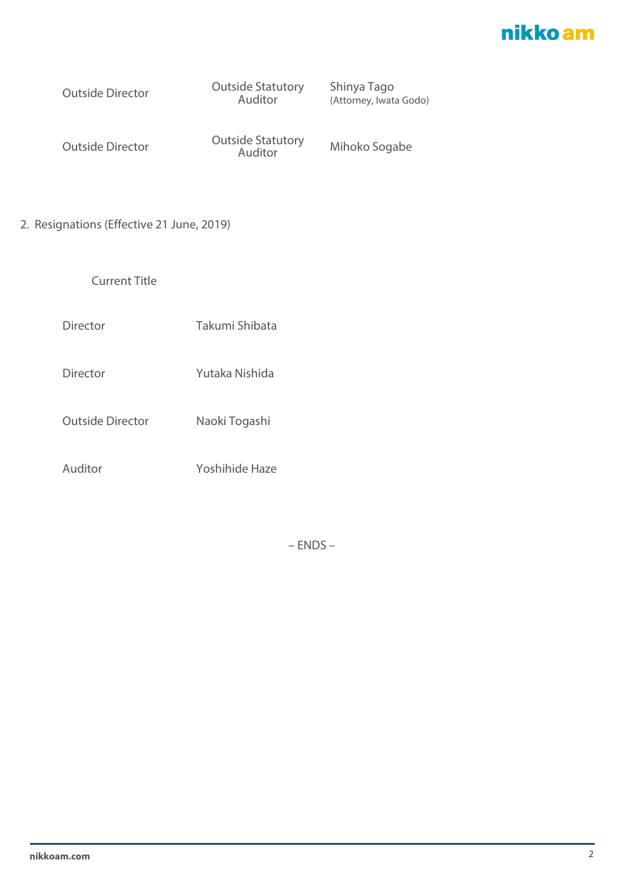### nikko am

Outside Director Outside Statutory Auditor

Shinya Tago (Attorney, Iwata Godo)

Outside Director Outside Statutory Auditor Mihoko Sogabe

2. Resignations (Effective 21 June, 2019)

Current Title

Director Takumi Shibata

Director Yutaka Nishida

Outside Director Naoki Togashi

Auditor Yoshihide Haze

– ENDS –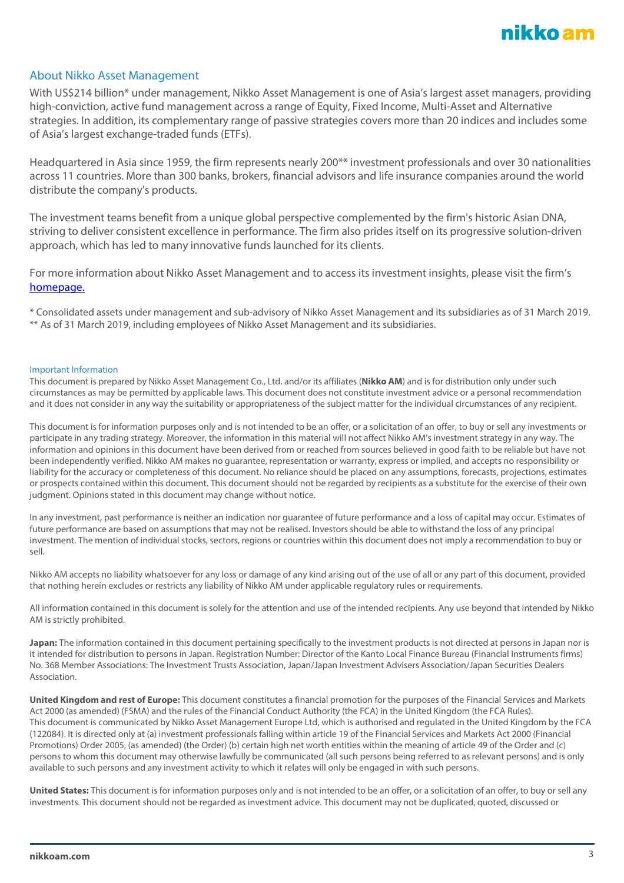

### About Nikko Asset Management

With US\$214 billion\* under management, Nikko Asset Management is one of Asia's largest asset managers, providing high-conviction, active fund management across a range of Equity, Fixed Income, Multi-Asset and Alternative strategies. In addition, its complementary range of passive strategies covers more than 20 indices and includes some of Asia's largest exchange-traded funds (ETFs).

Headquartered in Asia since 1959, the firm represents nearly 200\*\* investment professionals and over 30 nationalities across 11 countries. More than 300 banks, brokers, financial advisors and life insurance companies around the world distribute the company's products.

The investment teams benefit from a unique global perspective complemented by the firm's historic Asian DNA, striving to deliver consistent excellence in performance. The firm also prides itself on its progressive solution-driven approach, which has led to many innovative funds launched for its clients.

For more information about Nikko Asset Management and to access its investment insights, please visit the firm's [homepage.](http://en.nikkoam.com/)

\* Consolidated assets under management and sub-advisory of Nikko Asset Management and its subsidiaries as of 31 March 2019. \*\* As of 31 March 2019, including employees of Nikko Asset Management and its subsidiaries.

#### Important Information

This document is prepared by Nikko Asset Management Co., Ltd. and/or its affiliates (**Nikko AM**) and is for distribution only under such circumstances as may be permitted by applicable laws. This document does not constitute investment advice or a personal recommendation and it does not consider in any way the suitability or appropriateness of the subject matter for the individual circumstances of any recipient.

This document is for information purposes only and is not intended to be an offer, or a solicitation of an offer, to buy or sell any investments or participate in any trading strategy. Moreover, the information in this material will not affect Nikko AM's investment strategy in any way. The information and opinions in this document have been derived from or reached from sources believed in good faith to be reliable but have not been independently verified. Nikko AM makes no guarantee, representation or warranty, express or implied, and accepts no responsibility or liability for the accuracy or completeness of this document. No reliance should be placed on any assumptions, forecasts, projections, estimates or prospects contained within this document. This document should not be regarded by recipients as a substitute for the exercise of their own judgment. Opinions stated in this document may change without notice.

In any investment, past performance is neither an indication nor guarantee of future performance and a loss of capital may occur. Estimates of future performance are based on assumptions that may not be realised. Investors should be able to withstand the loss of any principal investment. The mention of individual stocks, sectors, regions or countries within this document does not imply a recommendation to buy or sell.

Nikko AM accepts no liability whatsoever for any loss or damage of any kind arising out of the use of all or any part of this document, provided that nothing herein excludes or restricts any liability of Nikko AM under applicable regulatory rules or requirements.

All information contained in this document is solely for the attention and use of the intended recipients. Any use beyond that intended by Nikko AM is strictly prohibited.

**Japan:** The information contained in this document pertaining specifically to the investment products is not directed at persons in Japan nor is it intended for distribution to persons in Japan. Registration Number: Director of the Kanto Local Finance Bureau (Financial Instruments firms) No. 368 Member Associations: The Investment Trusts Association, Japan/Japan Investment Advisers Association/Japan Securities Dealers Association.

**United Kingdom and rest of Europe:** This document constitutes a financial promotion for the purposes of the Financial Services and Markets Act 2000 (as amended) (FSMA) and the rules of the Financial Conduct Authority (the FCA) in the United Kingdom (the FCA Rules). This document is communicated by Nikko Asset Management Europe Ltd, which is authorised and regulated in the United Kingdom by the FCA (122084). It is directed only at (a) investment professionals falling within article 19 of the Financial Services and Markets Act 2000 (Financial Promotions) Order 2005, (as amended) (the Order) (b) certain high net worth entities within the meaning of article 49 of the Order and (c) persons to whom this document may otherwise lawfully be communicated (all such persons being referred to as relevant persons) and is only available to such persons and any investment activity to which it relates will only be engaged in with such persons.

**United States:** This document is for information purposes only and is not intended to be an offer, or a solicitation of an offer, to buy or sell any investments. This document should not be regarded as investment advice. This document may not be duplicated, quoted, discussed or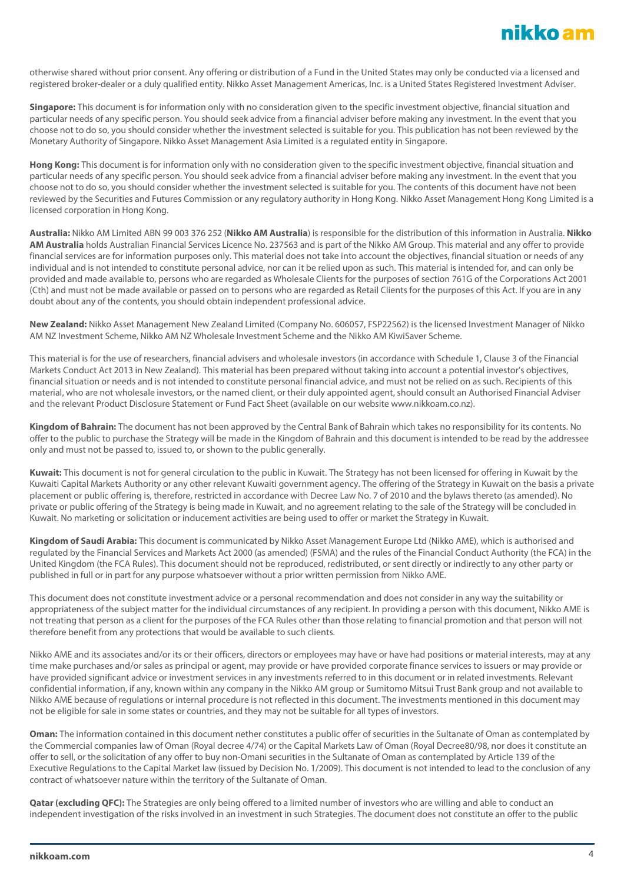otherwise shared without prior consent. Any offering or distribution of a Fund in the United States may only be conducted via a licensed and registered broker-dealer or a duly qualified entity. Nikko Asset Management Americas, Inc. is a United States Registered Investment Adviser.

**Singapore:** This document is for information only with no consideration given to the specific investment objective, financial situation and particular needs of any specific person. You should seek advice from a financial adviser before making any investment. In the event that you choose not to do so, you should consider whether the investment selected is suitable for you. This publication has not been reviewed by the Monetary Authority of Singapore. Nikko Asset Management Asia Limited is a regulated entity in Singapore.

**Hong Kong:** This document is for information only with no consideration given to the specific investment objective, financial situation and particular needs of any specific person. You should seek advice from a financial adviser before making any investment. In the event that you choose not to do so, you should consider whether the investment selected is suitable for you. The contents of this document have not been reviewed by the Securities and Futures Commission or any regulatory authority in Hong Kong. Nikko Asset Management Hong Kong Limited is a licensed corporation in Hong Kong.

**Australia:** Nikko AM Limited ABN 99 003 376 252 (**Nikko AM Australia**) is responsible for the distribution of this information in Australia. **Nikko AM Australia** holds Australian Financial Services Licence No. 237563 and is part of the Nikko AM Group. This material and any offer to provide financial services are for information purposes only. This material does not take into account the objectives, financial situation or needs of any individual and is not intended to constitute personal advice, nor can it be relied upon as such. This material is intended for, and can only be provided and made available to, persons who are regarded as Wholesale Clients for the purposes of section 761G of the Corporations Act 2001 (Cth) and must not be made available or passed on to persons who are regarded as Retail Clients for the purposes of this Act. If you are in any doubt about any of the contents, you should obtain independent professional advice.

**New Zealand:** Nikko Asset Management New Zealand Limited (Company No. 606057, FSP22562) is the licensed Investment Manager of Nikko AM NZ Investment Scheme, Nikko AM NZ Wholesale Investment Scheme and the Nikko AM KiwiSaver Scheme.

This material is for the use of researchers, financial advisers and wholesale investors (in accordance with Schedule 1, Clause 3 of the Financial Markets Conduct Act 2013 in New Zealand). This material has been prepared without taking into account a potential investor's objectives, financial situation or needs and is not intended to constitute personal financial advice, and must not be relied on as such. Recipients of this material, who are not wholesale investors, or the named client, or their duly appointed agent, should consult an Authorised Financial Adviser and the relevant Product Disclosure Statement or Fund Fact Sheet (available on our website www.nikkoam.co.nz).

**Kingdom of Bahrain:** The document has not been approved by the Central Bank of Bahrain which takes no responsibility for its contents. No offer to the public to purchase the Strategy will be made in the Kingdom of Bahrain and this document is intended to be read by the addressee only and must not be passed to, issued to, or shown to the public generally.

**Kuwait:** This document is not for general circulation to the public in Kuwait. The Strategy has not been licensed for offering in Kuwait by the Kuwaiti Capital Markets Authority or any other relevant Kuwaiti government agency. The offering of the Strategy in Kuwait on the basis a private placement or public offering is, therefore, restricted in accordance with Decree Law No. 7 of 2010 and the bylaws thereto (as amended). No private or public offering of the Strategy is being made in Kuwait, and no agreement relating to the sale of the Strategy will be concluded in Kuwait. No marketing or solicitation or inducement activities are being used to offer or market the Strategy in Kuwait.

**Kingdom of Saudi Arabia:** This document is communicated by Nikko Asset Management Europe Ltd (Nikko AME), which is authorised and regulated by the Financial Services and Markets Act 2000 (as amended) (FSMA) and the rules of the Financial Conduct Authority (the FCA) in the United Kingdom (the FCA Rules). This document should not be reproduced, redistributed, or sent directly or indirectly to any other party or published in full or in part for any purpose whatsoever without a prior written permission from Nikko AME.

This document does not constitute investment advice or a personal recommendation and does not consider in any way the suitability or appropriateness of the subject matter for the individual circumstances of any recipient. In providing a person with this document, Nikko AME is not treating that person as a client for the purposes of the FCA Rules other than those relating to financial promotion and that person will not therefore benefit from any protections that would be available to such clients.

Nikko AME and its associates and/or its or their officers, directors or employees may have or have had positions or material interests, may at any time make purchases and/or sales as principal or agent, may provide or have provided corporate finance services to issuers or may provide or have provided significant advice or investment services in any investments referred to in this document or in related investments. Relevant confidential information, if any, known within any company in the Nikko AM group or Sumitomo Mitsui Trust Bank group and not available to Nikko AME because of regulations or internal procedure is not reflected in this document. The investments mentioned in this document may not be eligible for sale in some states or countries, and they may not be suitable for all types of investors.

**Oman:** The information contained in this document nether constitutes a public offer of securities in the Sultanate of Oman as contemplated by the Commercial companies law of Oman (Royal decree 4/74) or the Capital Markets Law of Oman (Royal Decree80/98, nor does it constitute an offer to sell, or the solicitation of any offer to buy non-Omani securities in the Sultanate of Oman as contemplated by Article 139 of the Executive Regulations to the Capital Market law (issued by Decision No. 1/2009). This document is not intended to lead to the conclusion of any contract of whatsoever nature within the territory of the Sultanate of Oman.

Qatar (excluding QFC): The Strategies are only being offered to a limited number of investors who are willing and able to conduct an independent investigation of the risks involved in an investment in such Strategies. The document does not constitute an offer to the public